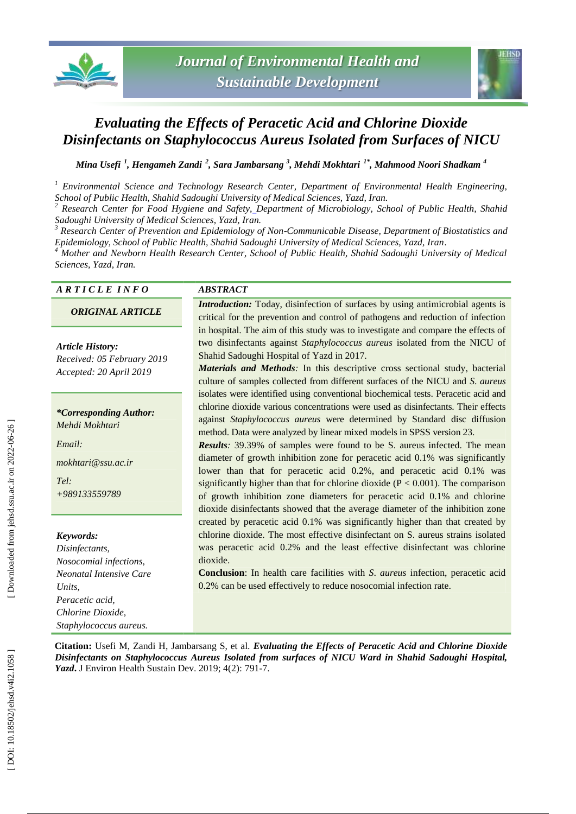



# *Evaluating the Effects of Peracetic Acid and Chlorine Dioxide Disinfectants on Staphylococcus Aureus Isolated from Surfaces of NICU*

*Mina Usefi 1 , Hengameh Zandi 2 , Sara Jambarsang 3 , Mehdi Mokhtari 1\*, Mahmood Noori Shadkam 4*

*<sup>1</sup> Environmental Science and Technology Research Center, Department of Environmental Health Engineering, School of Public Health, Shahid Sadoughi University of Medical Sciences, Yazd, Iran. <sup>2</sup> Research Center for Food Hygiene and Safety, Department of Microbiology, School of Public Health, Shahid* 

Sadoughi University of Medical Sciences, Yazd, Iran.<br><sup>3</sup> Research Center of Prevention and Epidemiology of Non-Communicable Disease, Department of Biostatistics and *Epidemiology, School of Public Health, Shahid Sadoughi University of Medical Sciences, Yazd, Iran .*

*<sup>4</sup> Mother and Newborn Health Research Center, School of Public Health, Shahid Sadoughi University of Medical Sciences, Yazd, Iran.*

| ARTICLE INFO                                                                                             | <i><b>ABSTRACT</b></i>                                                                                                                                                                                                                                                                                                                                                                                                                                                                                                                                                                                                                                                                                                                    |
|----------------------------------------------------------------------------------------------------------|-------------------------------------------------------------------------------------------------------------------------------------------------------------------------------------------------------------------------------------------------------------------------------------------------------------------------------------------------------------------------------------------------------------------------------------------------------------------------------------------------------------------------------------------------------------------------------------------------------------------------------------------------------------------------------------------------------------------------------------------|
| <b>ORIGINAL ARTICLE</b>                                                                                  | <i>Introduction:</i> Today, disinfection of surfaces by using antimicrobial agents is<br>critical for the prevention and control of pathogens and reduction of infection                                                                                                                                                                                                                                                                                                                                                                                                                                                                                                                                                                  |
| <b>Article History:</b><br>Received: 05 February 2019<br>Accepted: 20 April 2019                         | in hospital. The aim of this study was to investigate and compare the effects of<br>two disinfectants against Staphylococcus aureus isolated from the NICU of<br>Shahid Sadoughi Hospital of Yazd in 2017.<br>Materials and Methods: In this descriptive cross sectional study, bacterial<br>culture of samples collected from different surfaces of the NICU and S. aureus                                                                                                                                                                                                                                                                                                                                                               |
| <i>*Corresponding Author:</i><br>Mehdi Mokhtari<br>Email:<br>mokhtari@ssu.ac.ir<br>Tel:<br>+989133559789 | isolates were identified using conventional biochemical tests. Peracetic acid and<br>chlorine dioxide various concentrations were used as disinfectants. Their effects<br>against Staphylococcus aureus were determined by Standard disc diffusion<br>method. Data were analyzed by linear mixed models in SPSS version 23.<br><b>Results:</b> 39.39% of samples were found to be S. aureus infected. The mean<br>diameter of growth inhibition zone for peracetic acid 0.1% was significantly<br>lower than that for peracetic acid 0.2%, and peracetic acid 0.1% was<br>significantly higher than that for chlorine dioxide ( $P < 0.001$ ). The comparison<br>of growth inhibition zone diameters for peracetic acid 0.1% and chlorine |
|                                                                                                          | dioxide disinfectants showed that the average diameter of the inhibition zone                                                                                                                                                                                                                                                                                                                                                                                                                                                                                                                                                                                                                                                             |
| Keywords:<br>Disinfectants,                                                                              | created by peracetic acid 0.1% was significantly higher than that created by<br>chlorine dioxide. The most effective disinfectant on S. aureus strains isolated<br>was peracetic acid 0.2% and the least effective disinfectant was chlorine                                                                                                                                                                                                                                                                                                                                                                                                                                                                                              |
| Nosocomial infections,<br><b>Neonatal Intensive Care</b>                                                 | dioxide.<br><b>Conclusion:</b> In health care facilities with <i>S. aureus</i> infection, peracetic acid                                                                                                                                                                                                                                                                                                                                                                                                                                                                                                                                                                                                                                  |
| Units.<br>Peracetic acid,                                                                                | 0.2% can be used effectively to reduce nosocomial infection rate.                                                                                                                                                                                                                                                                                                                                                                                                                                                                                                                                                                                                                                                                         |
| Chlorine Dioxide,                                                                                        |                                                                                                                                                                                                                                                                                                                                                                                                                                                                                                                                                                                                                                                                                                                                           |
| Staphylococcus aureus.                                                                                   |                                                                                                                                                                                                                                                                                                                                                                                                                                                                                                                                                                                                                                                                                                                                           |

**Citation:** Usefi M, Zandi H, Jambarsang S, et al. *Evaluating the Effects of Peracetic Acid and Chlorine Dioxide Disinfectants on Staphylococcus Aureus Isolated from surfaces of NICU Ward in Shahid Sadoughi Hospital,*  Yazd. J Environ Health Sustain Dev. 2019; 4(2): 791-7.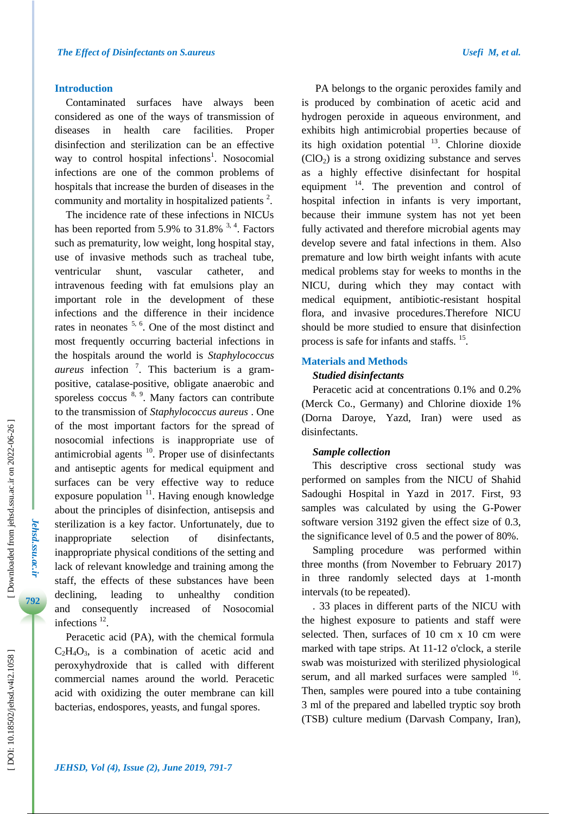#### **Introduction**

Contaminated surfaces have always been considered as one of the ways of transmission of diseases in health care facilities. Proper disinfection and sterilization can be an effective way to control hospital infections<sup>1</sup>. Nosocomial infections are one of the common problems of hospitals that increase the burden of diseases in the community and mortality in hospitalized patients<sup>2</sup>.

The incidence rate of these infections in NICUs has been reported from 5.9% to  $31.8\%$  <sup>3, 4</sup>. Factors such as prematurity, low weight, long hospital stay, use of invasive methods such as tracheal tube, ventricular shunt, vascular catheter, and intravenous feeding with fat emulsions play an important role in the development of these infections and the difference in their incidence rates in neonates  $5, 6$ . One of the most distinct and most frequently occurring bacterial infections in the hospitals around the world is *Staphylococcus aureus* infection 7 . This bacterium is a gram positive, catalase -positive, obligate anaerobic and sporeless coccus  $8, 9$ . Many factors can contribute to the transmission of *Staphylococcus aureus* . One of the most important factors for the spread of nosocomial infections is inappropriate use of antimicrobial agents  $10$ . Proper use of disinfectants and antiseptic agents for medical equipment and surfaces can be very effective way to reduce exposure population  $11$ . Having enough knowledge about the principles of disinfection, antisepsis and sterilization is a key factor. Unfortunately, due to inappropriate selection of disinfectants, inappropriate physical conditions of the setting and lack of relevant knowledge and training among the staff, the effects of these substances have been declining, leading to unhealthy condition and consequently increased of Nosocomial infections  $^{12}$ .

Peracetic acid (PA), with the chemical formula  $C_2H_4O_3$ , is a combination of acetic acid and peroxyhydroxide that is called with different commercial names around the world. Peracetic acid with oxidizing the outer membrane can kill bacterias, endospores, yeasts, and fungal spores.

PA belongs to the organic peroxides family and is produced by combination of acetic acid and hydrogen peroxide in aqueous environment, and exhibits high antimicrobial properties because of its high oxidation potential  $13$ . Chlorine dioxide (ClO <sup>2</sup>) is a strong oxidizing substance and serves as a highly effective disinfectant for hospital equipment <sup>14</sup>. The prevention and control of hospital infection in infants is very important, because their immune system has not yet been fully activated and therefore microbial agents may develop severe and fatal infections in them . Also premature and low birth weight infants with acute medical problems stay for weeks to months in the NICU, during which they may contact with medical equipment, antibiotic -resistant hospital flora, and invasive procedures.Therefore NICU should be more studied to ensure that disinfection process is safe for infants and staffs.<sup>15</sup>.

#### **Materials and Methods**

## *Studied disinfectants*

Peracetic acid at concentrations 0.1% and 0.2% (Merck Co., Germany) and Chlorine dioxide 1% (Dorna Daroye, Yazd, Iran ) were used as disinfectants.

#### *Sample collection*

This descriptive cross sectional study was performed on samples from the NICU of Shahid Sadoughi Hospital in Yazd in 2017. First, 93 samples was calculated by using the G -Power software version 3192 given the effect size of 0.3, the significance level of 0.5 and the power of 80%.

Sampling procedure was performed within three months (from November to February 201 7) in three randomly selected days at 1 -month intervals (to be repeated).

. 33 places in different parts of the NICU with the highest exposure to patients and staff were selected. Then, surfaces of 10 cm x 10 cm were marked with tape strips. At 11 -12 o'clock, a sterile swab was moisturized with sterilized physiological serum, and all marked surfaces were sampled <sup>16</sup>. Then, samples were poured into a tube containing 3 ml of the prepared and labelled tryptic soy broth (TSB) culture medium (Darvash Company, Iran),

*Jehsd.ssu.ac.ir*

Jehsd.ssu.ac.ir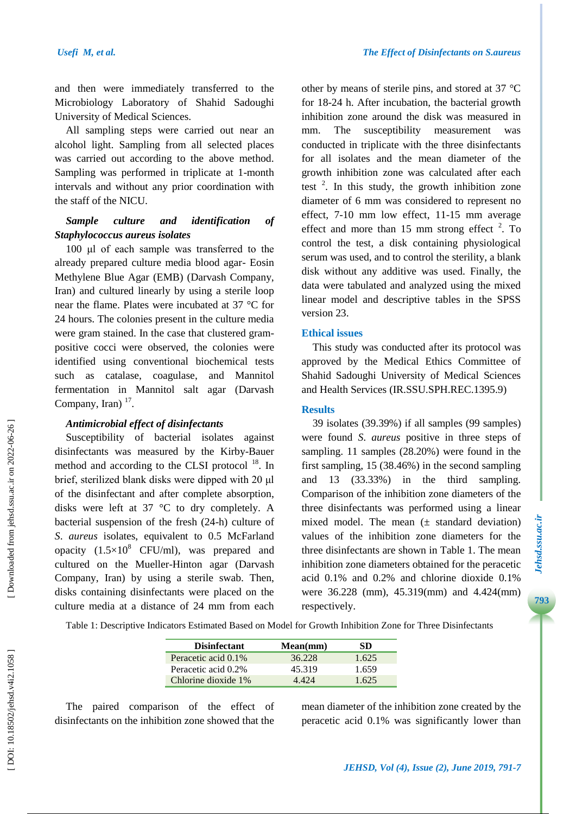and then were immediately transferred to the Microbiology Laboratory of Shahid Sadoughi University of Medical Sciences.

All sampling steps were carried out near an alcohol light. Sampling from all selected places was carried out according to the above method. Sampling was performed in triplicate at 1 -month intervals and without any prior coordination with the staff of the NICU.

# *Sample culture and identification of Staphylococcus aureus isolates*

100 μl of each sample was transferred to the already prepared culture media blood agar - Eosin Methylene Blue Agar (EMB) (Darvash Company, Iran) and cultured linearly by using a sterile loop near the flame. Plates were incubated at 37 °C for 24 hours. The colonies present in the culture media were gram stained. In the case that clustered gram positive cocci were observed, the colonies were identified using conventional biochemical tests such as catalase, coagulase, , and Mannitol fermentation in Mannitol salt agar (Darvash Company, Iran)  $17$ .

#### *Antimicrobial effect of disinfectants*

Susceptibility of bacterial isolates against disinfectants was measured by the Kirby -Bauer method and according to the CLSI protocol<sup>18</sup>. In brief, sterilized blank disks were dipped with 20 μl of the disinfectant and after complete absorption, disks were left at 37 °C to dry completely. A bacterial suspension of the fresh (24 -h) culture of *S* . *aureus* isolates, equivalent to 0.5 McFarland opacity  $(1.5 \times 10^8 \text{ CFU/ml})$ , was prepared and cultured on the Mueller -Hinton agar (Darvash Company, Iran) by using a sterile swab. Then, disks containing disinfectants were placed on the culture medi a at a distance of 24 mm from each other by means of sterile pins, and stored at 37 °C for 18 -24 h. After incubation, the bacterial growth inhibition zone around the disk was measured in mm. The susceptibility measurement was conducted in triplicate with the three disinfectants for all isolates and the mean diameter of the growth inhibition zone was calculated after each test  $2$ . In this study, the growth inhibition zone diameter of 6 mm was considered to represent no effect, 7 -10 mm low effect, 11 -15 mm average effect and more than 15 mm strong effect  $2$ . To control the test, a disk containing physiological serum was used, and to control the sterility, a blank disk without any additive was used. Finally, the data were tabulated and analyzed using the mixed linear model and descriptive tables in the SPSS version 23.

## **Ethical issues**

This study was conducted after its protocol was approved by the Medical Ethics Committee of Shahid Sadoughi University of Medical Sciences and Health Services (IR.SSU.SPH.REC.1395.9)

## **Results**

39 isolates (39.39%) if all samples (99 samples) were found *S*. *aureus* positive in three steps of sampling. 11 samples (28.20%) were found in the first sampling, 15 (38.46%) in the second sampling and 13 (33.33%) in the third sampling. Comparison of the inhibition zone diameters of the three disinfectants was performed using a linear mixed model. The mean  $(\pm$  standard deviation) values of the inhibition zone diameters for the three disinfectants are shown in Table 1. The mean inhibition zone diameters obtained for the peracetic acid 0.1% and 0.2% and chlorine dioxide 0.1% were 36.228 (mm), 45.319(mm) and 4.424(mm) respectively.

Table 1: Descriptive Indicators Estimated Based on Model for Growth Inhibition Zone for Three Disinfectants

| <b>Disinfectant</b> | Mean(mm) | SD    |
|---------------------|----------|-------|
| Peracetic acid 0.1% | 36.228   | 1.625 |
| Peracetic acid 0.2% | 45.319   | 1.659 |
| Chlorine dioxide 1% | 4 4 2 4  | 1.625 |

The paired comparison of the effect of disinfectants on the inhibition zone showed that the

mean diameter of the inhibition zone created by the peracetic acid 0.1% was significantly lower than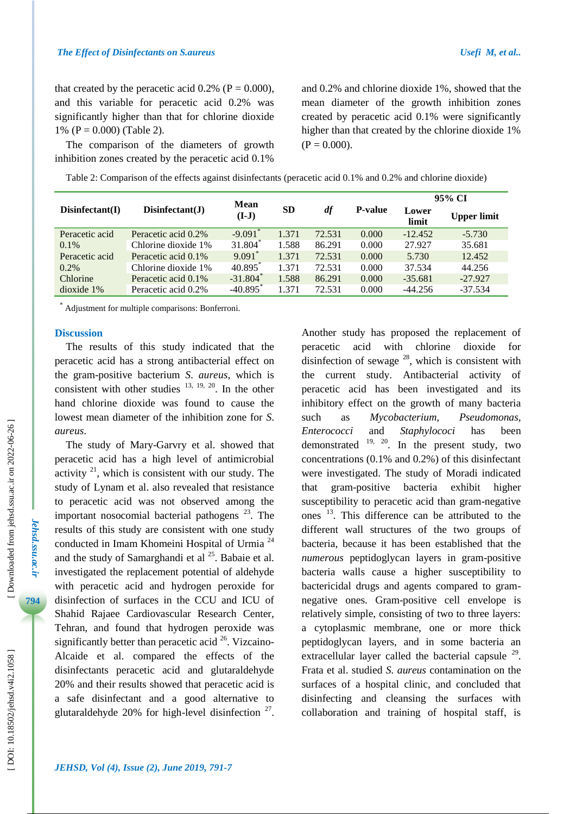that created by the peracetic acid  $0.2\%$  (P = 0.000), and this variable for peracetic acid 0.2% was significantly higher than that for chlorine dioxide 1% ( $P = 0.000$ ) (Table 2).

The comparison of the diameters of growth inhibition zones created by the peracetic acid 0.1%

and 0.2% and chlorine dioxide 1%, showed that the mean diameter of the growth inhibition zones created by peracetic acid 0.1% were significantly higher than that created by the chlorine dioxide 1% ( $P = 0.000$ ).

| Disinfectant(I) | Disinfectant(J)     | <b>Mean</b><br>$(I-J)$ | <b>SD</b> | df     | <b>P-value</b> | 95% CI         |                    |
|-----------------|---------------------|------------------------|-----------|--------|----------------|----------------|--------------------|
|                 |                     |                        |           |        |                | Lower<br>limit | <b>Upper limit</b> |
| Peracetic acid  | Peracetic acid 0.2% | $-9.091$ <sup>*</sup>  | 1.371     | 72.531 | 0.000          | $-12.452$      | $-5.730$           |
| $0.1\%$         | Chlorine dioxide 1% | $31.804*$              | 1.588     | 86.291 | 0.000          | 27.927         | 35.681             |
| Peracetic acid  | Peracetic acid 0.1% | $9.091$ *              | 1.371     | 72.531 | 0.000          | 5.730          | 12.452             |
| $0.2\%$         | Chlorine dioxide 1% | 40.895                 | 1.371     | 72.531 | 0.000          | 37.534         | 44.256             |
| Chlorine        | Peracetic acid 0.1% | $-31.804$ <sup>*</sup> | 1.588     | 86.291 | 0.000          | $-35.681$      | $-27.927$          |
| $dioxide$ 1%    | Peracetic acid 0.2% | $-40.895$ <sup>*</sup> | 1.371     | 72.531 | 0.000          | $-44.256$      | $-37.534$          |

Table 2: Comparison of the effects against disinfectants (peracetic acid 0.1% and 0.2% and chlorine dioxide)

\* Adjustment for multiple comparisons: Bonferroni.

#### **Discussion**

The results of this study indicate d that the peracetic acid has a strong antibacterial effect on the gram -positive bacterium *S*. *aureus*, which is consistent with other studies  $13, 19, 20$ . In the other hand chlorine dioxide was found to cause the lowest mean diameter of the inhibition zone for *S* . *aureus*.

The study of Mary -Garvry et al. showed that peracetic acid has a high level of antimicrobial activity  $2^{1}$ , which is consistent with our study. The study of Lynam et al. also revealed that resistance to peracetic acid was not observed among the important nosocomial bacterial pathogens  $23$ . The results of this study are consistent with one study conducted in Imam Khomeini Hospital of Urmia <sup>24</sup> and the study of Samarghandi et al  $^{25}$ . Babaie et al. investigated the replacement potential of aldehyde with peracetic acid and hydrogen peroxide for disinfection of surfaces in the CCU and ICU of Shahid Rajaee Cardiovascular Research Center, Tehran, and found that hydrogen peroxide was significantly better than peracetic acid  $26$ . Vizcaino-Alcaide et al. compare d the effects of the disinfectants peracetic acid and glutaraldehyde 20 % and their results showed that peracetic acid is a safe disinfectant and a good alternative to glutaraldehyde  $20\%$  for high-level disinfection  $27$ . Another study has proposed the replacement of peracetic acid with chlorine dioxide for disinfection of sewage  $^{28}$ , which is consistent with the current study. Antibacterial activity of peracetic acid has been investigated and its inhibitory effect on the growth of many bacteria such as *Mycobacterium, Pseudomonas, Enterococci* and *Staphylococi* has been demonstrated  $19, 20$ . In the present study, two concentrations (0.1% and 0.2%) of this disinfectant were investigated. The study of Moradi indicated that gram -positive bacteria exhibit higher susceptibility to peracetic acid than gram -negative ones<sup>13</sup>. This difference can be attributed to the different wall structures of the two groups of bacteria, because it has been established that the *numerous* peptidoglycan layers in gram -positive bacteria walls cause a higher susceptibility to bactericidal drugs and agents compared to gram negative ones. Gram -positive cell envelope is relatively simple, consisting of two to three layers: a cytoplasmic membrane, one or more thick peptidoglycan layers, and in some bacteria an extracellular layer called the bacterial capsule  $29$ . Frata et al. studied *S. aureus* contamination on the surfaces of a hospital clinic, and concluded that disinfecting and cleansing the surfaces with collaboration and training of hospital staff, is

*Jehsd.ssu.ac.ir*

Jehsd.ssu.ac.ir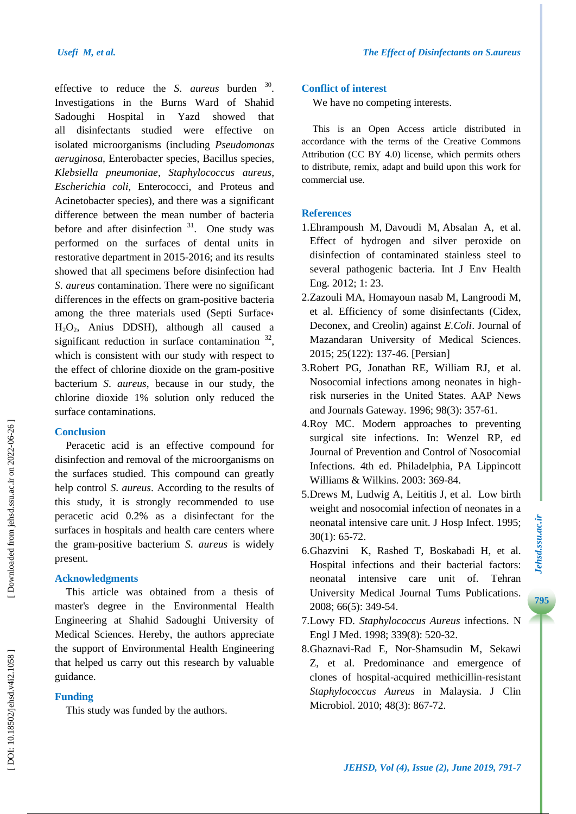effective to reduce the *S*. *aureus* burden <sup>30</sup>. Investigations in the Burns Ward of Shahid Sadoughi Hospital in Yazd showed that all disinfectants studied were effective on isolated microorganisms (including *Pseudomonas aeruginosa*, Enterobacter species, Bacillus species, *Klebsiella pneumoniae*, *Staphylococcus aureus*, *Escherichia coli*, Enterococci, and Proteus and Acinetobacter species), and there was a significant difference between the mean number of bacteria before and after disinfection  $31$ . One study was performed on the surfaces of dental units in restorative department in 2015 -2016; and its results showed that all specimens before disinfection had *S*. *aureus* contamination. There were no significant differences in the effects on gram -positive bacteria among the three materials used (Septi Surface **،** H 2 O <sup>2</sup>, Anius DDSH), although all caused a significant reduction in surface contamination  $32$ , which is consistent with our study with respect to the effect of chlorine dioxide on the gram -positive bacterium *S* . *aureus* , because in our study, the chlorine dioxide 1% solution only reduced the surface contaminations.

#### **Conclusion**

Peracetic acid is an effective compound for disinfection and removal of the microorganisms on the surfaces studied. This compound can greatly help control *S* . *aureus* . According to the results of this study, it is strongly recommended to use peracetic acid 0.2% as a disinfectant for the surfaces in hospitals and health care centers where the gram -positive bacterium *S*. *aureus* is widely present.

#### **Acknowledgments**

This article was obtained from a thesis of master's degree in the Environmental Health Engineering at Shahid Sadoughi University of Medical Sciences. Hereby, the authors appreciate the support of Environmental Health Engineering that helped us carry out this research by valuable guidance.

# **Funding**

This study was funded by the authors.

## **Conflict of interest**

We have no competing interests.

This is an Open Access article distributed in accordance with the terms of the Creative Commons Attribution (CC BY 4.0) license, which permits others to distribute, remix, adapt and build upon this work for commercial use.

# **References**

- 1.Ehrampoush M, Davoudi M, Absalan A, et al. Effect of hydrogen and silver peroxide on disinfection of contaminated stainless steel to several pathogenic bacteria. Int J Env Health Eng. 2012; 1: 23 .
- 2 .Zazouli MA, Homayoun nasab M , Langroodi M, et al. Efficiency of some disinfectants (Cidex, Deconex, and Creolin) against *E.Coli*. Journal of Mazandaran University of Medical Sciences. 2015; 2 5(122): 137 -46 . [Persian]
- 3 .Robert PG, Jonathan RE, William R J, et al. Nosocomial infections among neonates in high risk nurseries in the United States . AA P News and Journals Gateway . 1996; 98(3): 357 -61.
- 4 .Roy MC. Modern approaches to preventing surgical site infections. In: Wenzel RP, ed Journal of Prevention and Control of Nosocomial Infections . 4th ed . Philadelphia, PA Lippincott Williams & Wilkins. 2003: 369-84.
- 5. Drews M, Ludwig A, Leititis J, et al. Low birth weight and nosocomial infection of neonates in a neonatal intensive care unit. J Hosp Infect. 1995; 30(1): 65 -72.
- 6 .Ghazvini K, Rashed T, B oskabadi H, et al. Hospital infections and their bacterial factors: neonatal intensive care unit of. Tehran University Medical Journal Tums Publications . [2008; 66\(5\): 349](http://tumj.tums.ac.ir/browse.php?mag_id=57&slc_lang=en&sid=1) -54 .
- 7 .Lowy FD. *Staphylococcus Aureus* infections. N Engl J Med. 1998; 339(8): 520-32.
- 8 .Ghaznavi -Rad E, Nor -Shamsudin M, Sekawi Z, et al. Predominance and emergence of clones of hospital -acquired methicillin -resistant *Staphylococcus Aureus* in Malaysia . J Clin Microbiol. 2010; 48(3): 867 -72.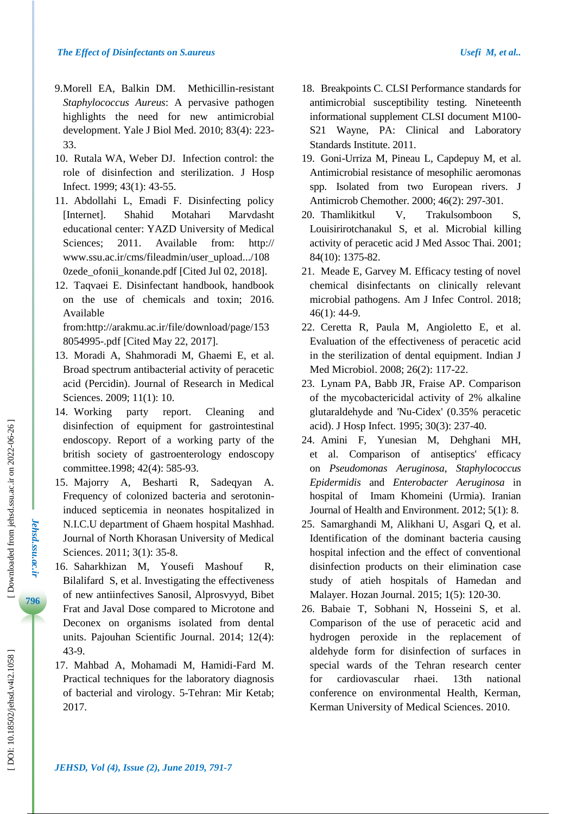- 9 .Morell EA, Balkin DM. Methicillin -resistant *Staphylococcus Aureus*: A pervasive pathogen highlights the need for new antimicrobial development. Yale J Biol Med. 2010; 83(4): 223 - 33.
- 10 . Rutala WA, Weber DJ. Infection control: the role of disinfection and sterilization. J Hosp Infect. 1999; 43(1) : 43 -55.
- 11 . Abdollahi L, Emadi F. Disinfecting policy [Internet]. Shahid Motahari Marvdasht educational center: YAZD University of Medical Sciences: ; 2011 . Available from: http:// www.ssu.ac.ir/cms/fileadmin/user\_upload.../108 0zede\_ofonii\_konande.pdf [Cited Jul 02, 2018].
- 12 . Taqvaei E. Disinfectant handbook, handbook on the use of chemicals and toxin ; 2016. Available

from:http://arakmu.ac.ir/file/download/page/153 8054995 -.pdf [Cited May 22, 2017] .

- 13 . Moradi A, Shahmoradi M, Ghaemi E, et al. Broad spectrum antibacterial activity of peracetic acid (Percidin). Journal of Research in Medical Sciences. 2009; 11(1): 10.
- 14 . Working party report report. Cleaning and disinfection of equipment for gastrointestinal endoscopy. Report of a working party of the british society of gastroenterology endoscopy committee .1998; 42(4): 585 -93.
- 15 . Majorry A, Besharti R, Sadeqyan A. Frequency of colonized bacteria and serotonin induced septicemia in neonates hospitalized in N.I.C.U department of Ghaem hospital Mashhad. Journal of North Khorasan University of Medical Sciences. 2011; 3(1): 35-8.
- 16 . Saharkhizan M, Yousefi Mashouf R, Bilalifard S, et al. Investigating the effectiveness of new antiinfectives Sanosil, Alprosvyyd, Bibet Frat and Javal Dose compared to Microtone and Deconex on organisms isolated from dental units. Pajouhan Scientific Journal. 2014; 12(4): 43 - 9 .
- 17 . Mahbad A, Mohamadi M, Hamidi -Fard M. Practical techniques for the laboratory diagnosis of bacterial and virology. 5 -Tehran: Mir Ketab; 20 17.
- 18 . Breakpoints C. CLSI Performance standards for antimicrobial susceptibility testing. Nineteenth informational supplement CLSI document M100 - S21 Wayne, PA: Clinical and Laboratory Standards Institute. 2011.
- 19 . Goni -Urriza M, Pineau L, Capdepuy M, et al. Antimicrobial resistance of mesophilic aeromonas spp. Isolated from two European rivers . J Antimicrob Chemother. 2000; 46(2): 297 -301.
- 20. Thamlikitkul V. Trakulsomboon S, Louisirirotchanakul S, et al. Microbial killing activity of peracetic acid J Med Assoc Thai. 2001; 84(10): 1375 -82.
- 21 . Meade E, Garvey M. Efficacy testing of novel chemical disinfectants on clinically relevant microbial pathogens. Am J Infec Control. 2018; 46(1): 44 -9.
- 22 . Ceretta R, Paula M, Angioletto E, et al. Evaluation of the effectiveness of peracetic acid in the sterilization of dental equipment. Indian J Med Microbiol. 2008; 26(2): 117-22.
- 23 . Lynam PA, Babb JR, Fraise AP. Comparison of the mycobactericidal activity of 2% alkaline glutaraldehyde and 'Nu -Cidex' (0.35% peracetic acid) . J Hosp Infect . 1995; 30(3): 237 -40.
- 24 . Amini F, Yunesian M, Dehghani MH, et al. Comparison of antiseptics' efficacy on *Pseudomonas Aeruginosa*, *Staphylococcus Epidermidis* and *Enterobacter Aeruginosa* in hospital of Imam Khomeini (Urmia). Iranian Journal of Health and Environment. 2012; 5(1): 8.
- 25 . Samarghandi M, Alikhani U, Asgari Q, et al. Identification of the dominant bacteria causing hospital infection and the effect of conventional disinfection products on their elimination case study of atieh hospitals of Hamedan and Malayer. Hozan Journal. 2015; 1(5): 120-30.
- 26 . Babaie T, Sobhani N, Hosseini S, et al. Comparison of the use of peracetic acid and hydrogen peroxide in the replacement of aldehyde form for disinfection of surfaces in special wards of the Tehran research center for cardiovascular rhaei. 13th national conference on environmental Health, Kerman, Kerman University of Medical Sciences . 2010 .

*Jehsd.ssu.ac.ir*

Jehsd.ssu.ac.ir